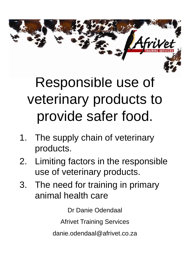## Responsible use of veterinary products to provide safer food.

- 1. The supply chain of veterinary products.
- 2. Limiting factors in the responsible use of veterinary products.
- 3. The need for training in primary animal health care

Dr Danie Odendaal

Afrivet Training Services

danie.odendaal@afrivet.co.za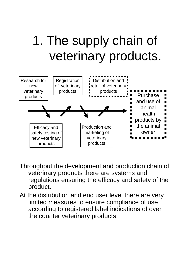## 1. The supply chain of veterinary products.



- Throughout the development and production chain of veterinary products there are systems and regulations ensuring the efficacy and safety of the product.
- At the distribution and end user level there are very limited measures to ensure compliance of use according to registered label indications of over the counter veterinary products.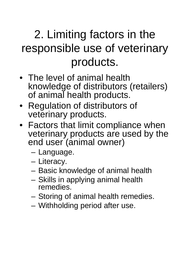## 2. Limiting factors in the responsible use of veterinary products.

- The level of animal health knowledge of distributors (retailers) of animal health products.
- Regulation of distributors of veterinary products.
- Factors that limit compliance when veterinary products are used by the end user (animal owner)
	- Language.
	- Literacy.
	- Basic knowledge of animal health
	- Skills in applying animal health remedies.
	- Storing of animal health remedies.
	- Withholding period after use.